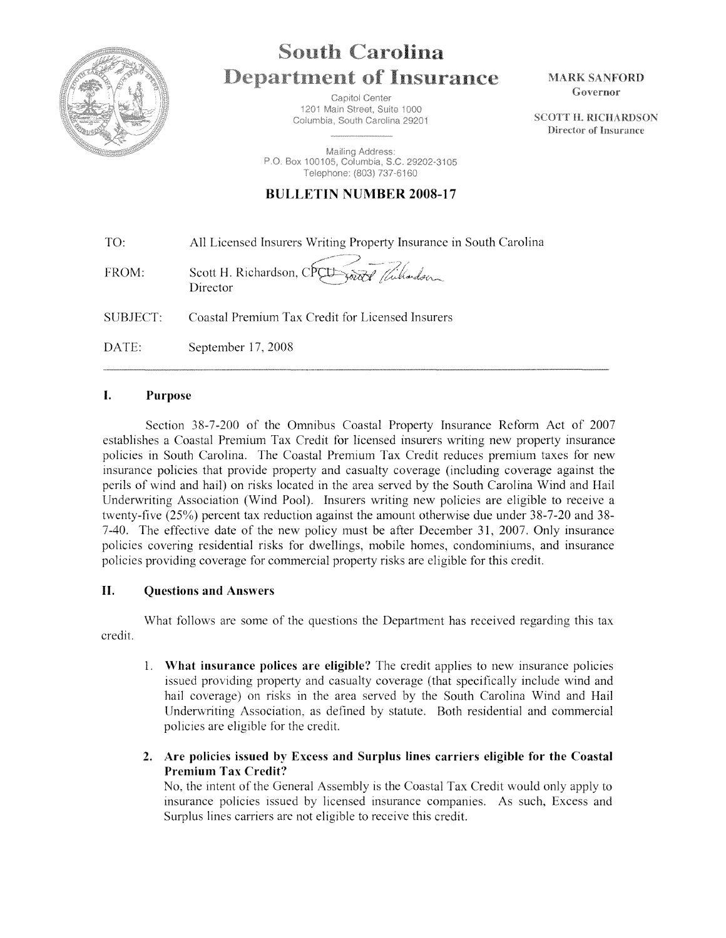

# **South Carolina Department of Insurance**

Capitol Center 1201 Main Street, Suite 1000 Columbia, South Carolina 29201

Mailing Address: P.O. Box 100105, Columbia, S.C. 29202-3105 Telephone: (803) 737-6160

## **BULLETIN NUMBER 2008-17**

| TO: | All Licensed Insurers Writing Property Insurance in South Carolina |
|-----|--------------------------------------------------------------------|
|     |                                                                    |

FROM: Scott H. Richardson, CPCL word / Willardson Director

SUBJECT: Coastal Premium Tax Credit for Licensed Insurers

DATE: September 17, 2008

### **I. Purpose**

Section 38-7-200 of the Omnibus Coastal Property Insurance Reform Act of 2007 establishes a Coastal Premium Tax Credit for licensed insurers writing new property insurance policies in South Carolina. The Coastal Premium Tax Credit reduces premium taxes for new insurance policies that provide property and casualty coverage (including coverage against the perils of wind and hail) on risks located in the area served by the South Carolina Wind and Hail Underwriting Association (Wind Pool). Insurers writing new policies are eligible to receive a twenty-five (25%) percent tax reduction against the amount otherwise due under 38-7-20 and 38- 7-40. The effective date of the new policy must be after December 31, 2007. Only insurance policies covering residential risks for dwellings, mobile homes, condominiums, and insurance policies providing coverage for commercial property risks are eligible for this credit.

#### **II. Questions and Answers**

credit. What follows are some of the questions the Department has received regarding this tax

- 1. **What insurance polices are eligible?** The credit applies to new insurance policies issued providing property and casualty coverage (that specifically include wind and hail coverage) on risks in the area served by the South Carolina Wind and Hail Underwriting Association, as defined by statute. Both residential and commercial policies are eligible for the credit.
- **2. Are policies issued by Excess and Surplus lines carriers eligible for the Coastal Premium Tax Credit?**

No, the mtent of the General Assembly is the Coastal Tax Credit would only apply to insurance policies issued by licensed insurance companies. As such, Excess and Surplus lines carriers are not eligible to receive this credit.

**MARK SANFORD** Governor

**SCOTT H. RICHARDSON** Director of Insurance